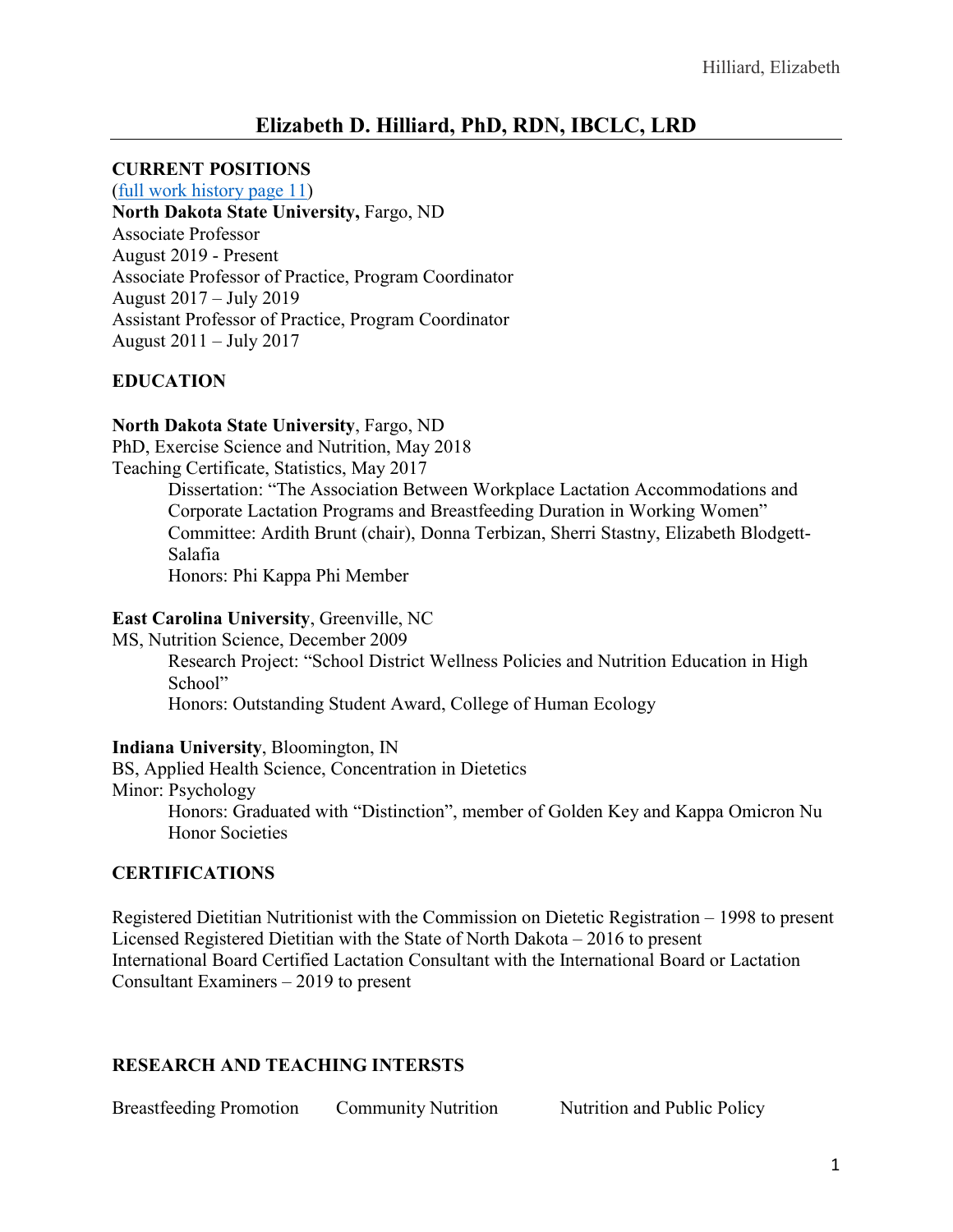# **CURRENT POSITIONS**

### (full work history page 11) **North Dakota State University,** Fargo, ND Associate Professor August 2019 - Present Associate Professor of Practice, Program Coordinator August 2017 – July 2019

Assistant Professor of Practice, Program Coordinator August 2011 – July 2017

**EDUCATION**

# **North Dakota State University**, Fargo, ND

PhD, Exercise Science and Nutrition, May 2018

Teaching Certificate, Statistics, May 2017

Dissertation: "The Association Between Workplace Lactation Accommodations and Corporate Lactation Programs and Breastfeeding Duration in Working Women" Committee: Ardith Brunt (chair), Donna Terbizan, Sherri Stastny, Elizabeth Blodgett-Salafia

Honors: Phi Kappa Phi Member

### **East Carolina University**, Greenville, NC

MS, Nutrition Science, December 2009

Research Project: "School District Wellness Policies and Nutrition Education in High School"

Honors: Outstanding Student Award, College of Human Ecology

### **Indiana University**, Bloomington, IN

BS, Applied Health Science, Concentration in Dietetics Minor: Psychology

Honors: Graduated with "Distinction", member of Golden Key and Kappa Omicron Nu Honor Societies

### **CERTIFICATIONS**

Registered Dietitian Nutritionist with the Commission on Dietetic Registration – 1998 to present Licensed Registered Dietitian with the State of North Dakota – 2016 to present International Board Certified Lactation Consultant with the International Board or Lactation Consultant Examiners – 2019 to present

# **RESEARCH AND TEACHING INTERSTS**

Breastfeeding Promotion Community Nutrition Nutrition and Public Policy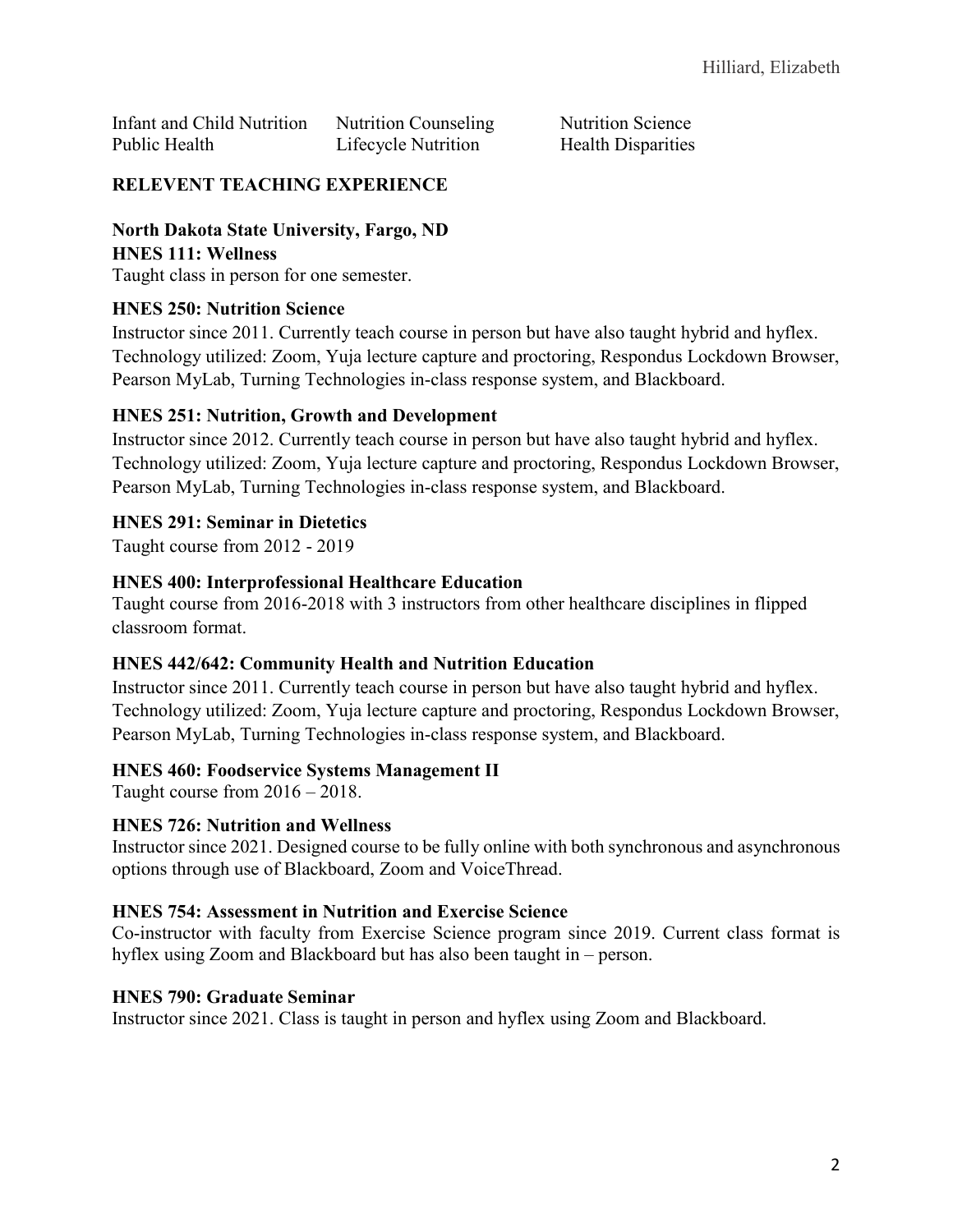Infant and Child Nutrition Nutrition Counseling Nutrition Science Public Health **Lifecycle Nutrition** Health Disparities

# **RELEVENT TEACHING EXPERIENCE**

### **North Dakota State University, Fargo, ND HNES 111: Wellness**

Taught class in person for one semester.

# **HNES 250: Nutrition Science**

Instructor since 2011. Currently teach course in person but have also taught hybrid and hyflex. Technology utilized: Zoom, Yuja lecture capture and proctoring, Respondus Lockdown Browser, Pearson MyLab, Turning Technologies in-class response system, and Blackboard.

# **HNES 251: Nutrition, Growth and Development**

Instructor since 2012. Currently teach course in person but have also taught hybrid and hyflex. Technology utilized: Zoom, Yuja lecture capture and proctoring, Respondus Lockdown Browser, Pearson MyLab, Turning Technologies in-class response system, and Blackboard.

# **HNES 291: Seminar in Dietetics**

Taught course from 2012 - 2019

# **HNES 400: Interprofessional Healthcare Education**

Taught course from 2016-2018 with 3 instructors from other healthcare disciplines in flipped classroom format.

# **HNES 442/642: Community Health and Nutrition Education**

Instructor since 2011. Currently teach course in person but have also taught hybrid and hyflex. Technology utilized: Zoom, Yuja lecture capture and proctoring, Respondus Lockdown Browser, Pearson MyLab, Turning Technologies in-class response system, and Blackboard.

# **HNES 460: Foodservice Systems Management II**

Taught course from 2016 – 2018.

### **HNES 726: Nutrition and Wellness**

Instructor since 2021. Designed course to be fully online with both synchronous and asynchronous options through use of Blackboard, Zoom and VoiceThread.

### **HNES 754: Assessment in Nutrition and Exercise Science**

Co-instructor with faculty from Exercise Science program since 2019. Current class format is hyflex using Zoom and Blackboard but has also been taught in – person.

### **HNES 790: Graduate Seminar**

Instructor since 2021. Class is taught in person and hyflex using Zoom and Blackboard.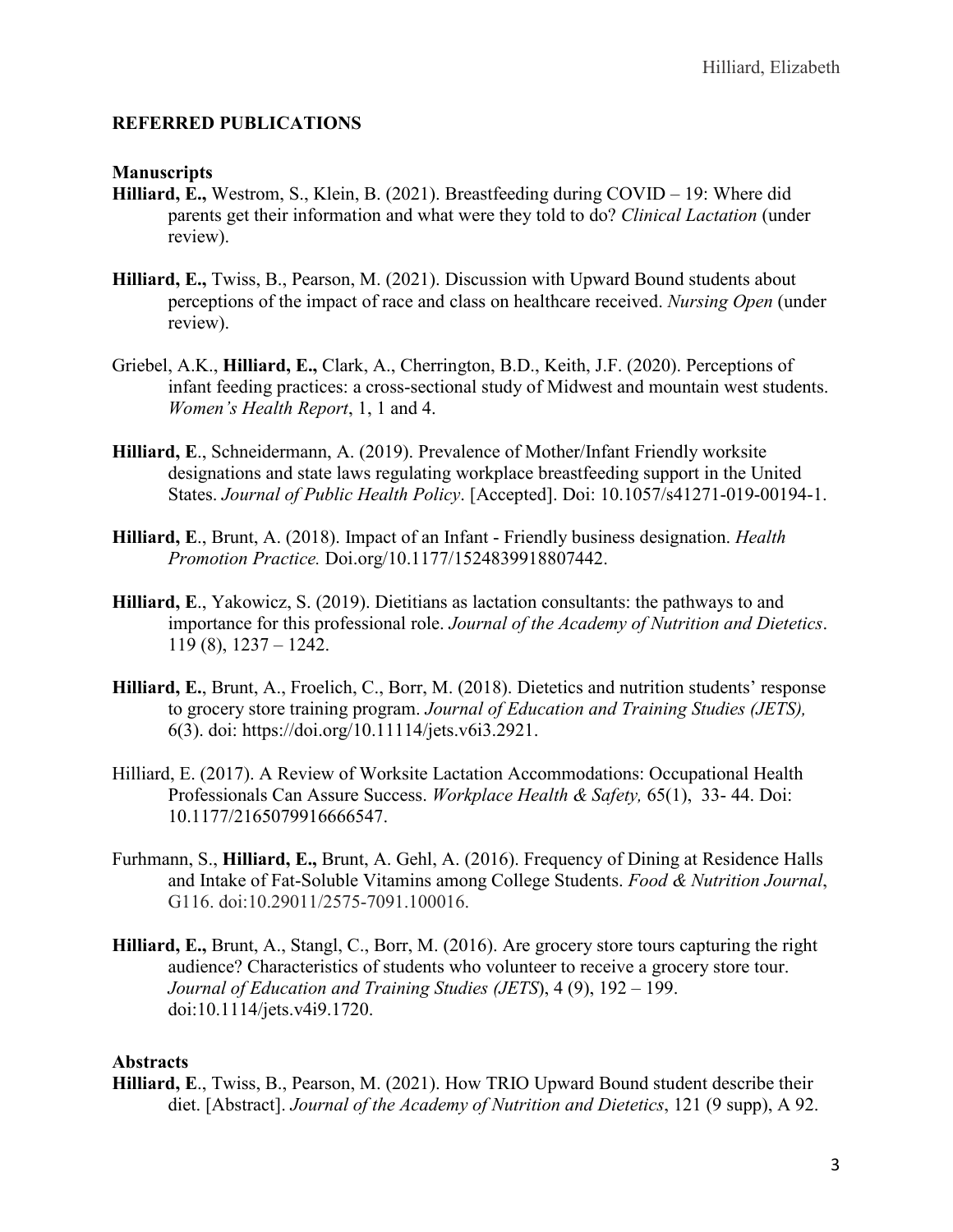### **REFERRED PUBLICATIONS**

### **Manuscripts**

- **Hilliard, E.,** Westrom, S., Klein, B. (2021). Breastfeeding during COVID 19: Where did parents get their information and what were they told to do? *Clinical Lactation* (under review).
- **Hilliard, E.,** Twiss, B., Pearson, M. (2021). Discussion with Upward Bound students about perceptions of the impact of race and class on healthcare received. *Nursing Open* (under review).
- Griebel, A.K., **Hilliard, E.,** Clark, A., Cherrington, B.D., Keith, J.F. (2020). Perceptions of infant feeding practices: a cross-sectional study of Midwest and mountain west students. *Women's Health Report*, 1, 1 and 4.
- **Hilliard, E**., Schneidermann, A. (2019). Prevalence of Mother/Infant Friendly worksite designations and state laws regulating workplace breastfeeding support in the United States. *Journal of Public Health Policy*. [Accepted]. Doi: 10.1057/s41271-019-00194-1.
- **Hilliard, E**., Brunt, A. (2018). Impact of an Infant Friendly business designation. *Health Promotion Practice.* Doi.org/10.1177/1524839918807442.
- **Hilliard, E**., Yakowicz, S. (2019). Dietitians as lactation consultants: the pathways to and importance for this professional role. *Journal of the Academy of Nutrition and Dietetics*. 119 (8), 1237 – 1242.
- **Hilliard, E.**, Brunt, A., Froelich, C., Borr, M. (2018). Dietetics and nutrition students' response to grocery store training program. *Journal of Education and Training Studies (JETS),* 6(3). doi: https://doi.org/10.11114/jets.v6i3.2921.
- Hilliard, E. (2017). A Review of Worksite Lactation Accommodations: Occupational Health Professionals Can Assure Success. *Workplace Health & Safety,* 65(1), 33- 44. Doi: 10.1177/2165079916666547.
- Furhmann, S., **Hilliard, E.,** Brunt, A. Gehl, A. (2016). Frequency of Dining at Residence Halls and Intake of Fat-Soluble Vitamins among College Students. *Food & Nutrition Journal*, G116. doi:10.29011/2575-7091.100016.
- **Hilliard, E.,** Brunt, A., Stangl, C., Borr, M. (2016). Are grocery store tours capturing the right audience? Characteristics of students who volunteer to receive a grocery store tour. *Journal of Education and Training Studies (JETS*), 4 (9), 192 – 199. doi:10.1114/jets.v4i9.1720.

### **Abstracts**

**Hilliard, E**., Twiss, B., Pearson, M. (2021). How TRIO Upward Bound student describe their diet. [Abstract]. *Journal of the Academy of Nutrition and Dietetics*, 121 (9 supp), A 92.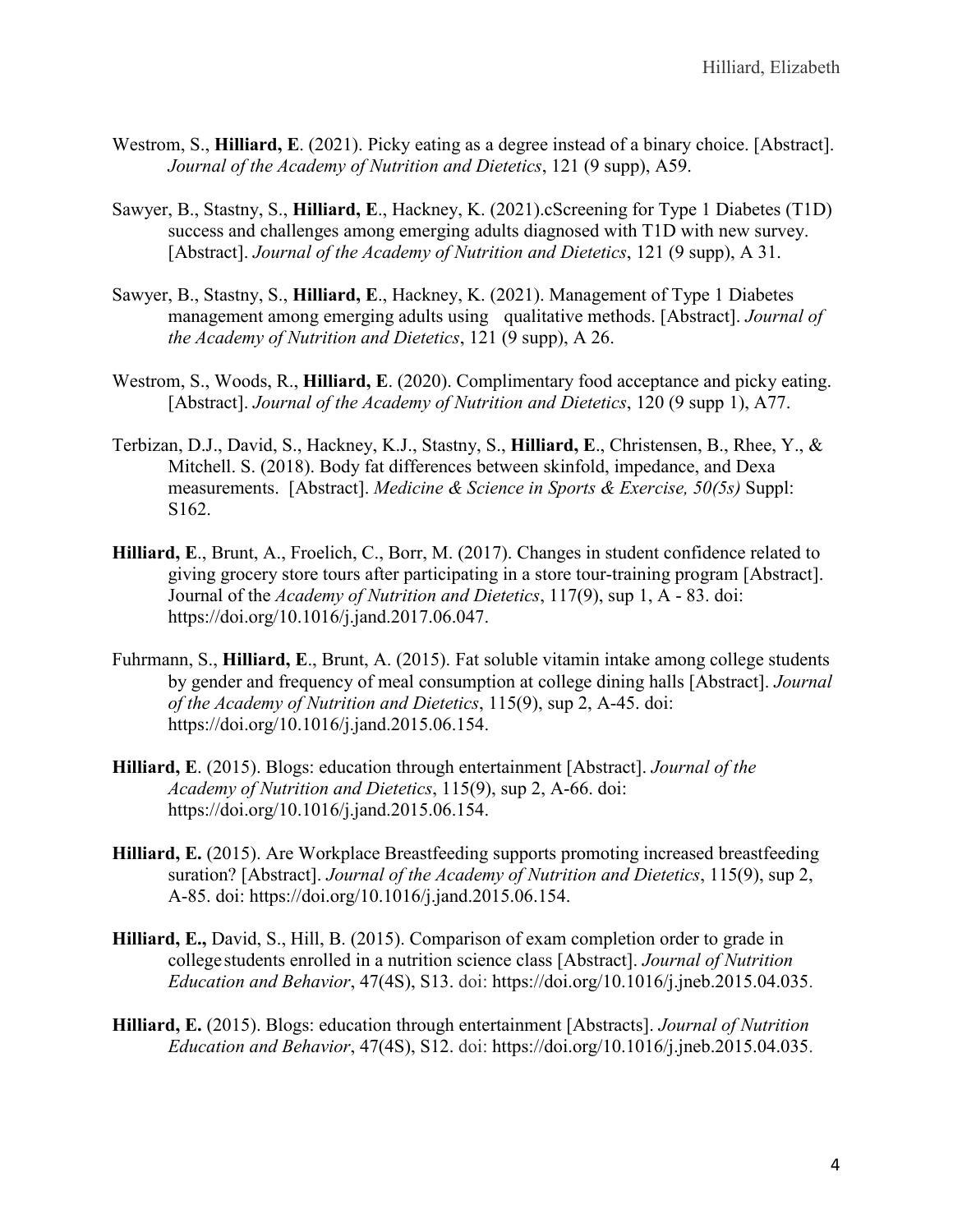- Westrom, S., **Hilliard, E**. (2021). Picky eating as a degree instead of a binary choice. [Abstract]. *Journal of the Academy of Nutrition and Dietetics*, 121 (9 supp), A59.
- Sawyer, B., Stastny, S., **Hilliard, E**., Hackney, K. (2021).cScreening for Type 1 Diabetes (T1D) success and challenges among emerging adults diagnosed with T1D with new survey. [Abstract]. *Journal of the Academy of Nutrition and Dietetics*, 121 (9 supp), A 31.
- Sawyer, B., Stastny, S., **Hilliard, E**., Hackney, K. (2021). Management of Type 1 Diabetes management among emerging adults using qualitative methods. [Abstract]. *Journal of the Academy of Nutrition and Dietetics*, 121 (9 supp), A 26.
- Westrom, S., Woods, R., **Hilliard, E**. (2020). Complimentary food acceptance and picky eating. [Abstract]. *Journal of the Academy of Nutrition and Dietetics*, 120 (9 supp 1), A77.
- Terbizan, D.J., David, S., Hackney, K.J., Stastny, S., **Hilliard, E**., Christensen, B., Rhee, Y., & Mitchell. S. (2018). Body fat differences between skinfold, impedance, and Dexa measurements. [Abstract]. *Medicine & Science in Sports & Exercise, 50(5s)* Suppl: S162.
- **Hilliard, E**., Brunt, A., Froelich, C., Borr, M. (2017). Changes in student confidence related to giving grocery store tours after participating in a store tour-training program [Abstract]. Journal of the *Academy of Nutrition and Dietetics*, 117(9), sup 1, A - 83. doi: https://doi.org/10.1016/j.jand.2017.06.047.
- Fuhrmann, S., **Hilliard, E**., Brunt, A. (2015). Fat soluble vitamin intake among college students by gender and frequency of meal consumption at college dining halls [Abstract]. *Journal of the Academy of Nutrition and Dietetics*, 115(9), sup 2, A-45. doi: https://doi.org/10.1016/j.jand.2015.06.154.
- **Hilliard, E**. (2015). Blogs: education through entertainment [Abstract]. *Journal of the Academy of Nutrition and Dietetics*, 115(9), sup 2, A-66. doi: https://doi.org/10.1016/j.jand.2015.06.154.
- **Hilliard, E.** (2015). Are Workplace Breastfeeding supports promoting increased breastfeeding suration? [Abstract]. *Journal of the Academy of Nutrition and Dietetics*, 115(9), sup 2, A-85. doi: https://doi.org/10.1016/j.jand.2015.06.154.
- **Hilliard, E.,** David, S., Hill, B. (2015). Comparison of exam completion order to grade in college students enrolled in a nutrition science class [Abstract]. *Journal of Nutrition Education and Behavior*, 47(4S), S13. doi: https://doi.org/10.1016/j.jneb.2015.04.035.
- **Hilliard, E.** (2015). Blogs: education through entertainment [Abstracts]. *Journal of Nutrition Education and Behavior*, 47(4S), S12. doi: https://doi.org/10.1016/j.jneb.2015.04.035.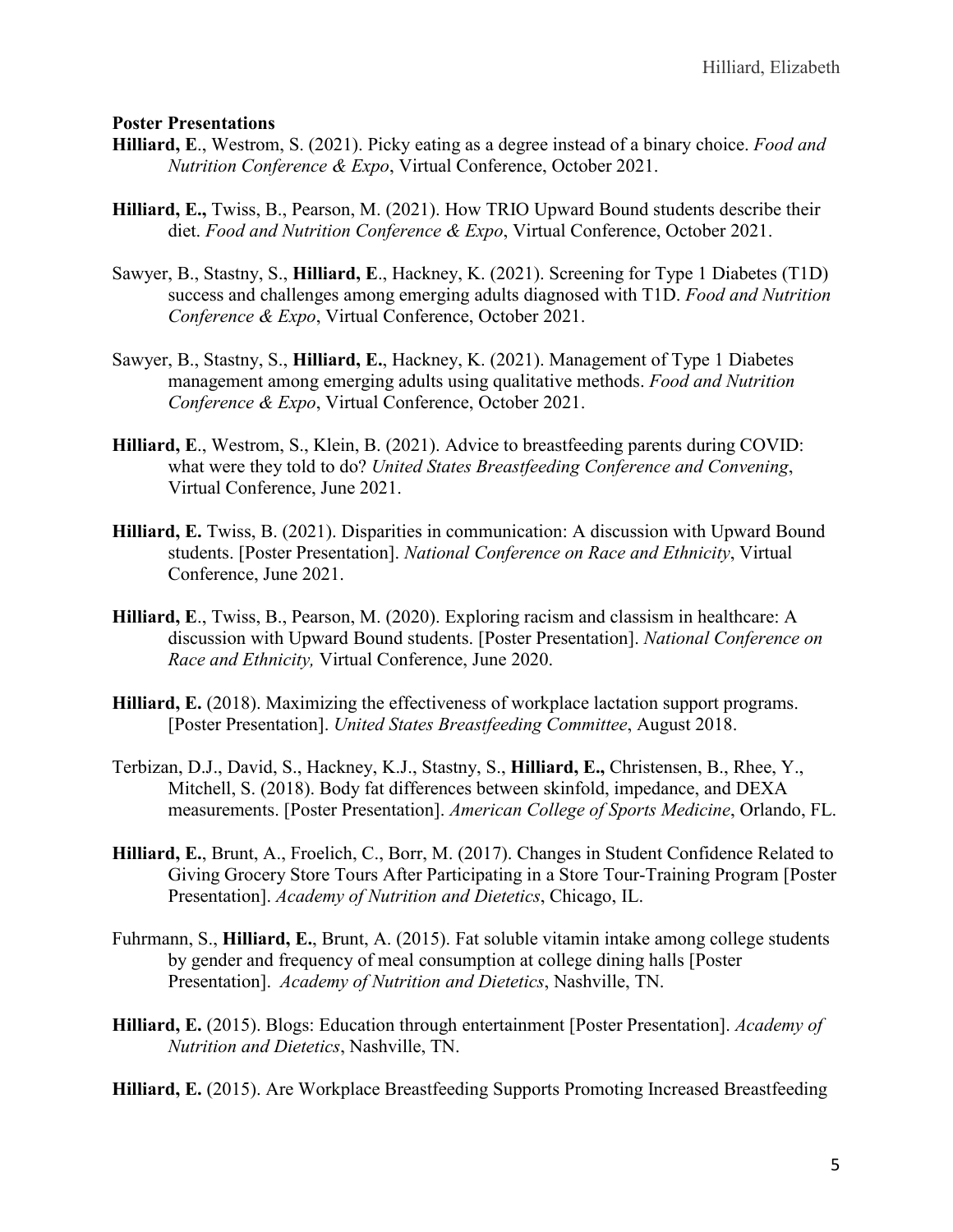#### **Poster Presentations**

- **Hilliard, E**., Westrom, S. (2021). Picky eating as a degree instead of a binary choice. *Food and Nutrition Conference & Expo*, Virtual Conference, October 2021.
- **Hilliard, E.,** Twiss, B., Pearson, M. (2021). How TRIO Upward Bound students describe their diet. *Food and Nutrition Conference & Expo*, Virtual Conference, October 2021.
- Sawyer, B., Stastny, S., **Hilliard, E**., Hackney, K. (2021). Screening for Type 1 Diabetes (T1D) success and challenges among emerging adults diagnosed with T1D. *Food and Nutrition Conference & Expo*, Virtual Conference, October 2021.
- Sawyer, B., Stastny, S., **Hilliard, E.**, Hackney, K. (2021). Management of Type 1 Diabetes management among emerging adults using qualitative methods. *Food and Nutrition Conference & Expo*, Virtual Conference, October 2021.
- **Hilliard, E**., Westrom, S., Klein, B. (2021). Advice to breastfeeding parents during COVID: what were they told to do? *United States Breastfeeding Conference and Convening*, Virtual Conference, June 2021.
- **Hilliard, E.** Twiss, B. (2021). Disparities in communication: A discussion with Upward Bound students. [Poster Presentation]. *National Conference on Race and Ethnicity*, Virtual Conference, June 2021.
- **Hilliard, E**., Twiss, B., Pearson, M. (2020). Exploring racism and classism in healthcare: A discussion with Upward Bound students. [Poster Presentation]. *National Conference on Race and Ethnicity,* Virtual Conference, June 2020.
- **Hilliard, E.** (2018). Maximizing the effectiveness of workplace lactation support programs. [Poster Presentation]. *United States Breastfeeding Committee*, August 2018.
- Terbizan, D.J., David, S., Hackney, K.J., Stastny, S., **Hilliard, E.,** Christensen, B., Rhee, Y., Mitchell, S. (2018). Body fat differences between skinfold, impedance, and DEXA measurements. [Poster Presentation]. *American College of Sports Medicine*, Orlando, FL.
- **Hilliard, E.**, Brunt, A., Froelich, C., Borr, M. (2017). Changes in Student Confidence Related to Giving Grocery Store Tours After Participating in a Store Tour-Training Program [Poster Presentation]. *Academy of Nutrition and Dietetics*, Chicago, IL.
- Fuhrmann, S., **Hilliard, E.**, Brunt, A. (2015). Fat soluble vitamin intake among college students by gender and frequency of meal consumption at college dining halls [Poster Presentation]. *Academy of Nutrition and Dietetics*, Nashville, TN.
- **Hilliard, E.** (2015). Blogs: Education through entertainment [Poster Presentation]. *Academy of Nutrition and Dietetics*, Nashville, TN.

**Hilliard, E.** (2015). Are Workplace Breastfeeding Supports Promoting Increased Breastfeeding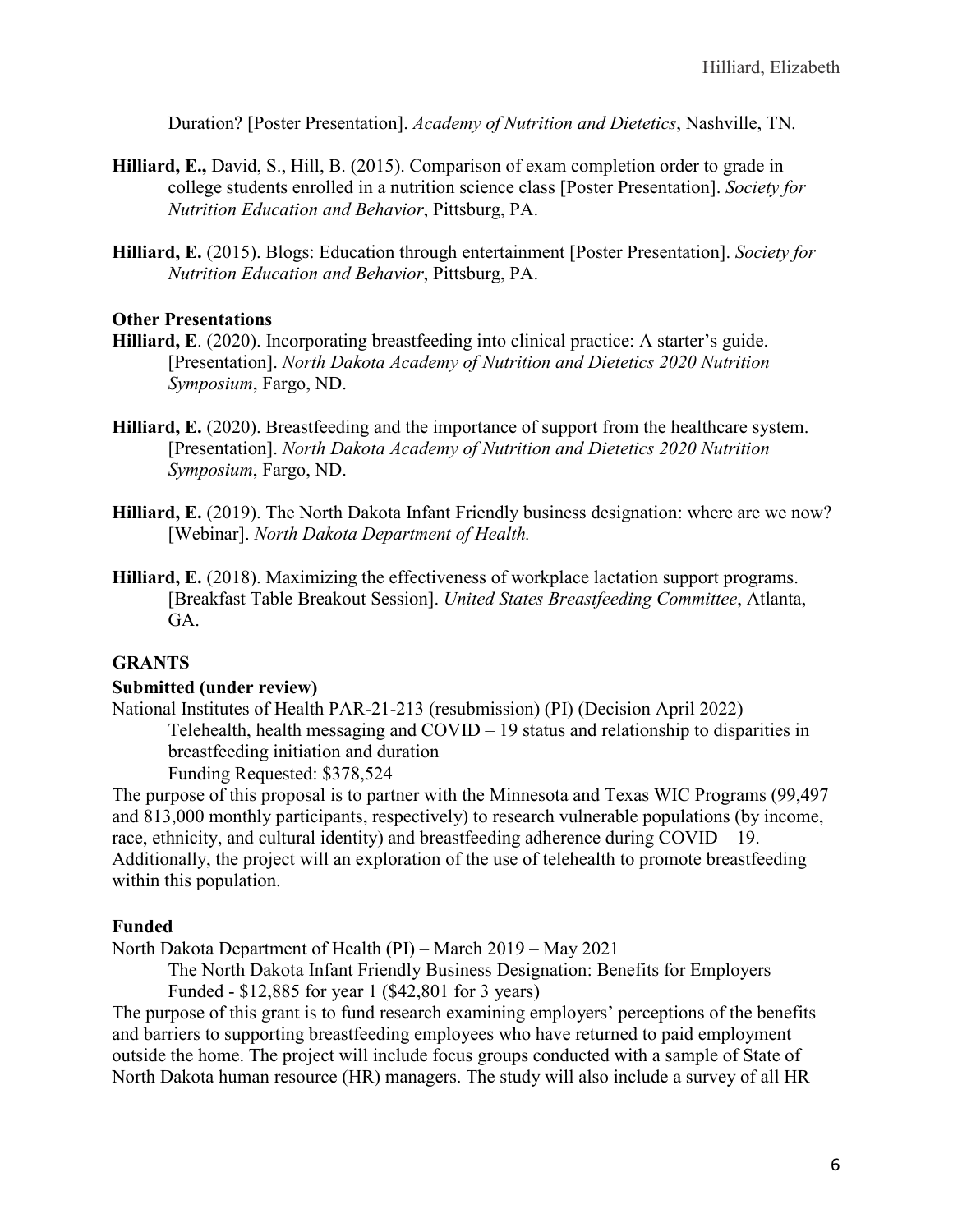Duration? [Poster Presentation]. *Academy of Nutrition and Dietetics*, Nashville, TN.

- **Hilliard, E.,** David, S., Hill, B. (2015). Comparison of exam completion order to grade in college students enrolled in a nutrition science class [Poster Presentation]. *Society for Nutrition Education and Behavior*, Pittsburg, PA.
- **Hilliard, E.** (2015). Blogs: Education through entertainment [Poster Presentation]. *Society for Nutrition Education and Behavior*, Pittsburg, PA.

#### **Other Presentations**

- **Hilliard, E**. (2020). Incorporating breastfeeding into clinical practice: A starter's guide. [Presentation]. *North Dakota Academy of Nutrition and Dietetics 2020 Nutrition Symposium*, Fargo, ND.
- **Hilliard, E.** (2020). Breastfeeding and the importance of support from the healthcare system. [Presentation]. *North Dakota Academy of Nutrition and Dietetics 2020 Nutrition Symposium*, Fargo, ND.
- **Hilliard, E.** (2019). The North Dakota Infant Friendly business designation: where are we now? [Webinar]. *North Dakota Department of Health.*
- **Hilliard, E.** (2018). Maximizing the effectiveness of workplace lactation support programs. [Breakfast Table Breakout Session]. *United States Breastfeeding Committee*, Atlanta, GA.

#### **GRANTS**

#### **Submitted (under review)**

National Institutes of Health PAR-21-213 (resubmission) (PI) (Decision April 2022) Telehealth, health messaging and COVID – 19 status and relationship to disparities in breastfeeding initiation and duration

Funding Requested: \$378,524

The purpose of this proposal is to partner with the Minnesota and Texas WIC Programs (99,497 and 813,000 monthly participants, respectively) to research vulnerable populations (by income, race, ethnicity, and cultural identity) and breastfeeding adherence during COVID – 19. Additionally, the project will an exploration of the use of telehealth to promote breastfeeding within this population.

#### **Funded**

North Dakota Department of Health (PI) – March 2019 – May 2021

The North Dakota Infant Friendly Business Designation: Benefits for Employers Funded - \$12,885 for year 1 (\$42,801 for 3 years)

The purpose of this grant is to fund research examining employers' perceptions of the benefits and barriers to supporting breastfeeding employees who have returned to paid employment outside the home. The project will include focus groups conducted with a sample of State of North Dakota human resource (HR) managers. The study will also include a survey of all HR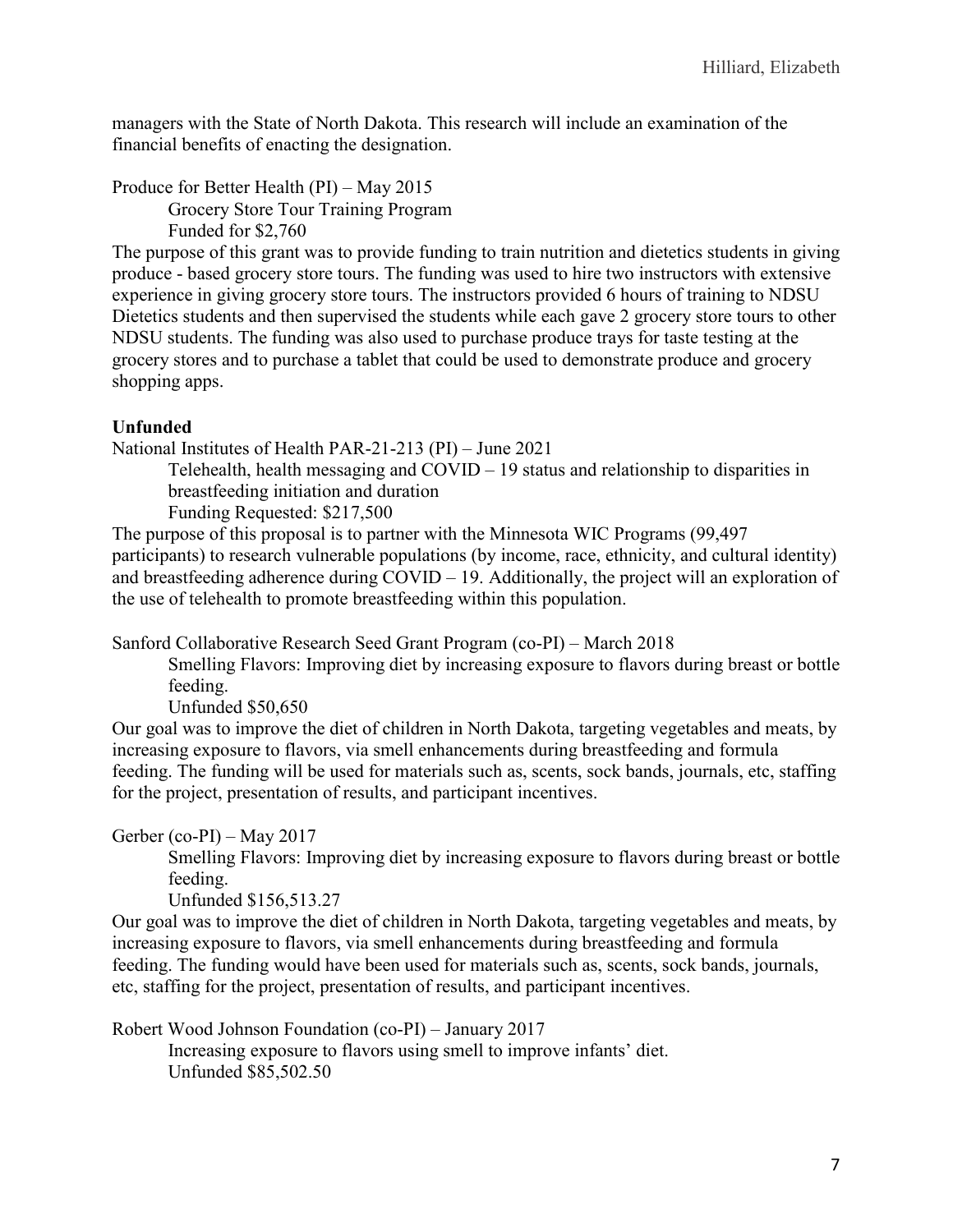managers with the State of North Dakota. This research will include an examination of the financial benefits of enacting the designation.

Produce for Better Health (PI) – May 2015 Grocery Store Tour Training Program

Funded for \$2,760

The purpose of this grant was to provide funding to train nutrition and dietetics students in giving produce - based grocery store tours. The funding was used to hire two instructors with extensive experience in giving grocery store tours. The instructors provided 6 hours of training to NDSU Dietetics students and then supervised the students while each gave 2 grocery store tours to other NDSU students. The funding was also used to purchase produce trays for taste testing at the grocery stores and to purchase a tablet that could be used to demonstrate produce and grocery shopping apps.

### **Unfunded**

National Institutes of Health PAR-21-213 (PI) – June 2021

Telehealth, health messaging and COVID – 19 status and relationship to disparities in breastfeeding initiation and duration

Funding Requested: \$217,500

The purpose of this proposal is to partner with the Minnesota WIC Programs (99,497 participants) to research vulnerable populations (by income, race, ethnicity, and cultural identity) and breastfeeding adherence during COVID – 19. Additionally, the project will an exploration of the use of telehealth to promote breastfeeding within this population.

Sanford Collaborative Research Seed Grant Program (co-PI) – March 2018

Smelling Flavors: Improving diet by increasing exposure to flavors during breast or bottle feeding.

Unfunded \$50,650

Our goal was to improve the diet of children in North Dakota, targeting vegetables and meats, by increasing exposure to flavors, via smell enhancements during breastfeeding and formula feeding. The funding will be used for materials such as, scents, sock bands, journals, etc, staffing for the project, presentation of results, and participant incentives.

Gerber (co-PI) – May 2017

Smelling Flavors: Improving diet by increasing exposure to flavors during breast or bottle feeding.

Unfunded \$156,513.27

Our goal was to improve the diet of children in North Dakota, targeting vegetables and meats, by increasing exposure to flavors, via smell enhancements during breastfeeding and formula feeding. The funding would have been used for materials such as, scents, sock bands, journals, etc, staffing for the project, presentation of results, and participant incentives.

Robert Wood Johnson Foundation (co-PI) – January 2017

Increasing exposure to flavors using smell to improve infants' diet. Unfunded \$85,502.50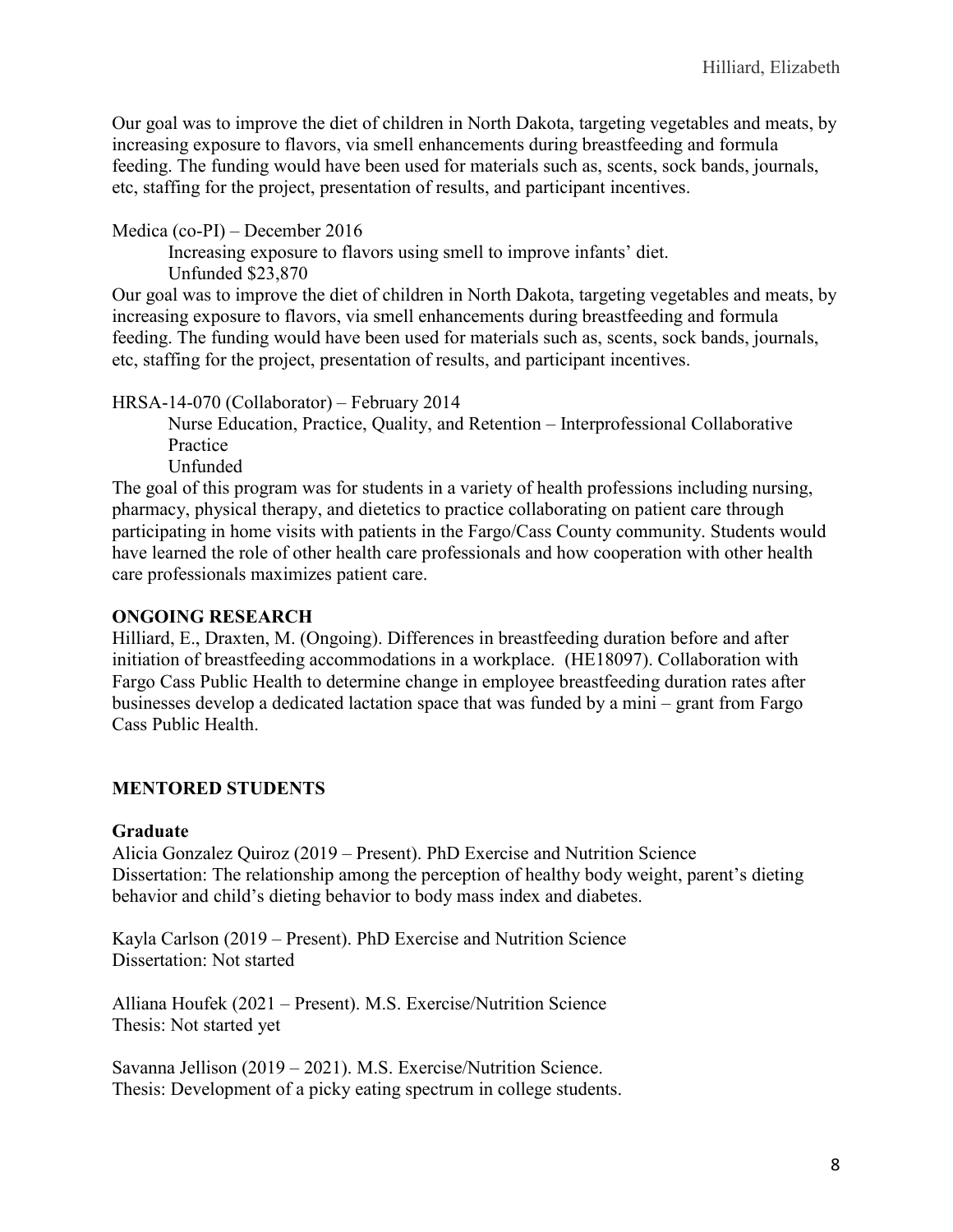Our goal was to improve the diet of children in North Dakota, targeting vegetables and meats, by increasing exposure to flavors, via smell enhancements during breastfeeding and formula feeding. The funding would have been used for materials such as, scents, sock bands, journals, etc, staffing for the project, presentation of results, and participant incentives.

Medica (co-PI) – December 2016

Increasing exposure to flavors using smell to improve infants' diet. Unfunded \$23,870

Our goal was to improve the diet of children in North Dakota, targeting vegetables and meats, by increasing exposure to flavors, via smell enhancements during breastfeeding and formula feeding. The funding would have been used for materials such as, scents, sock bands, journals, etc, staffing for the project, presentation of results, and participant incentives.

HRSA-14-070 (Collaborator) – February 2014

Nurse Education, Practice, Quality, and Retention – Interprofessional Collaborative Practice

Unfunded

The goal of this program was for students in a variety of health professions including nursing, pharmacy, physical therapy, and dietetics to practice collaborating on patient care through participating in home visits with patients in the Fargo/Cass County community. Students would have learned the role of other health care professionals and how cooperation with other health care professionals maximizes patient care.

### **ONGOING RESEARCH**

Hilliard, E., Draxten, M. (Ongoing). Differences in breastfeeding duration before and after initiation of breastfeeding accommodations in a workplace. (HE18097). Collaboration with Fargo Cass Public Health to determine change in employee breastfeeding duration rates after businesses develop a dedicated lactation space that was funded by a mini – grant from Fargo Cass Public Health.

### **MENTORED STUDENTS**

### **Graduate**

Alicia Gonzalez Quiroz (2019 – Present). PhD Exercise and Nutrition Science Dissertation: The relationship among the perception of healthy body weight, parent's dieting behavior and child's dieting behavior to body mass index and diabetes.

Kayla Carlson (2019 – Present). PhD Exercise and Nutrition Science Dissertation: Not started

Alliana Houfek (2021 – Present). M.S. Exercise/Nutrition Science Thesis: Not started yet

Savanna Jellison (2019 – 2021). M.S. Exercise/Nutrition Science. Thesis: Development of a picky eating spectrum in college students.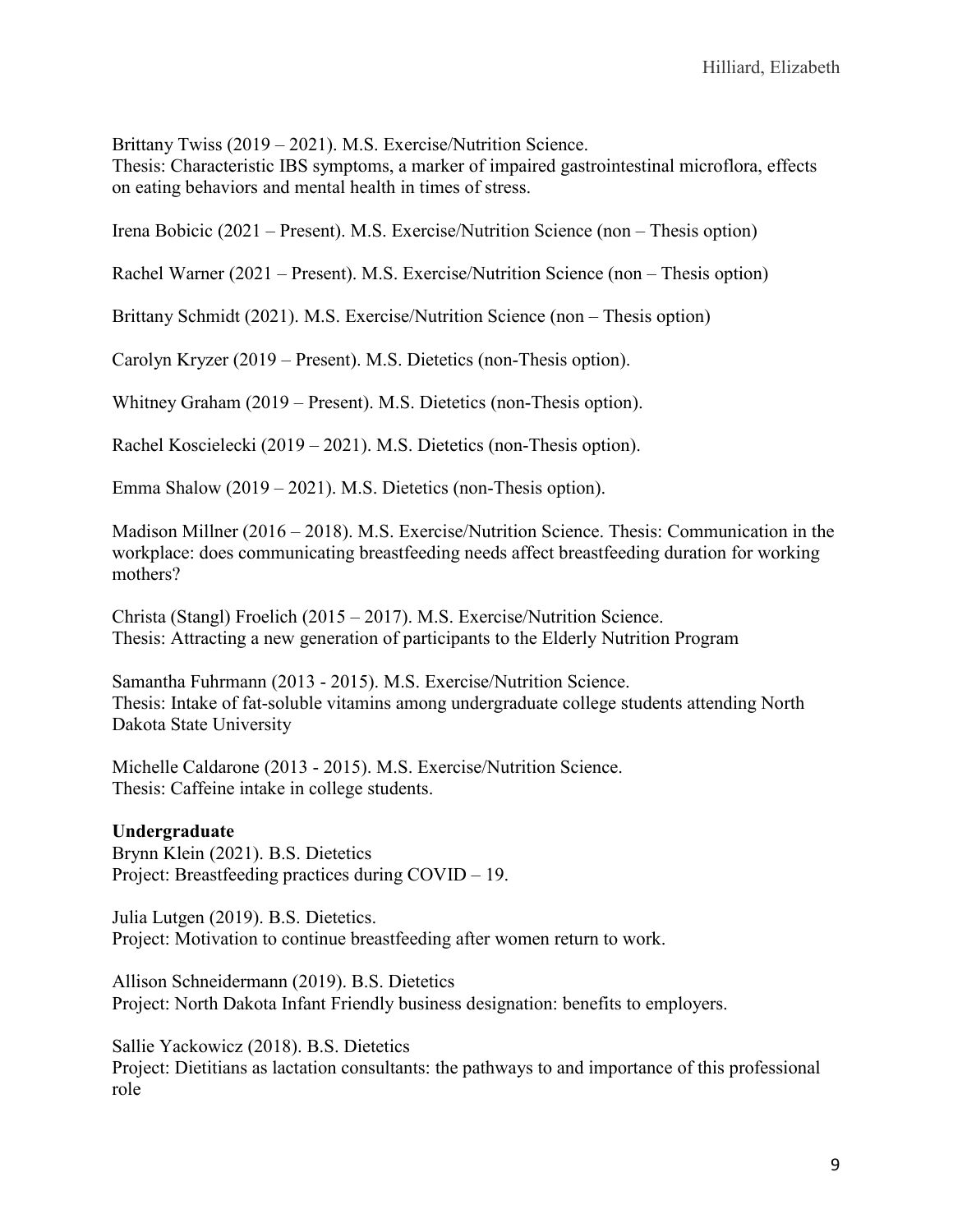Brittany Twiss (2019 – 2021). M.S. Exercise/Nutrition Science.

Thesis: Characteristic IBS symptoms, a marker of impaired gastrointestinal microflora, effects on eating behaviors and mental health in times of stress.

Irena Bobicic (2021 – Present). M.S. Exercise/Nutrition Science (non – Thesis option)

Rachel Warner (2021 – Present). M.S. Exercise/Nutrition Science (non – Thesis option)

Brittany Schmidt (2021). M.S. Exercise/Nutrition Science (non – Thesis option)

Carolyn Kryzer (2019 – Present). M.S. Dietetics (non-Thesis option).

Whitney Graham (2019 – Present). M.S. Dietetics (non-Thesis option).

Rachel Koscielecki (2019 – 2021). M.S. Dietetics (non-Thesis option).

Emma Shalow (2019 – 2021). M.S. Dietetics (non-Thesis option).

Madison Millner (2016 – 2018). M.S. Exercise/Nutrition Science. Thesis: Communication in the workplace: does communicating breastfeeding needs affect breastfeeding duration for working mothers?

Christa (Stangl) Froelich (2015 – 2017). M.S. Exercise/Nutrition Science. Thesis: Attracting a new generation of participants to the Elderly Nutrition Program

Samantha Fuhrmann (2013 - 2015). M.S. Exercise/Nutrition Science. Thesis: Intake of fat-soluble vitamins among undergraduate college students attending North Dakota State University

Michelle Caldarone (2013 - 2015). M.S. Exercise/Nutrition Science. Thesis: Caffeine intake in college students.

### **Undergraduate**

Brynn Klein (2021). B.S. Dietetics Project: Breastfeeding practices during COVID – 19.

Julia Lutgen (2019). B.S. Dietetics. Project: Motivation to continue breastfeeding after women return to work.

Allison Schneidermann (2019). B.S. Dietetics Project: North Dakota Infant Friendly business designation: benefits to employers.

Sallie Yackowicz (2018). B.S. Dietetics Project: Dietitians as lactation consultants: the pathways to and importance of this professional role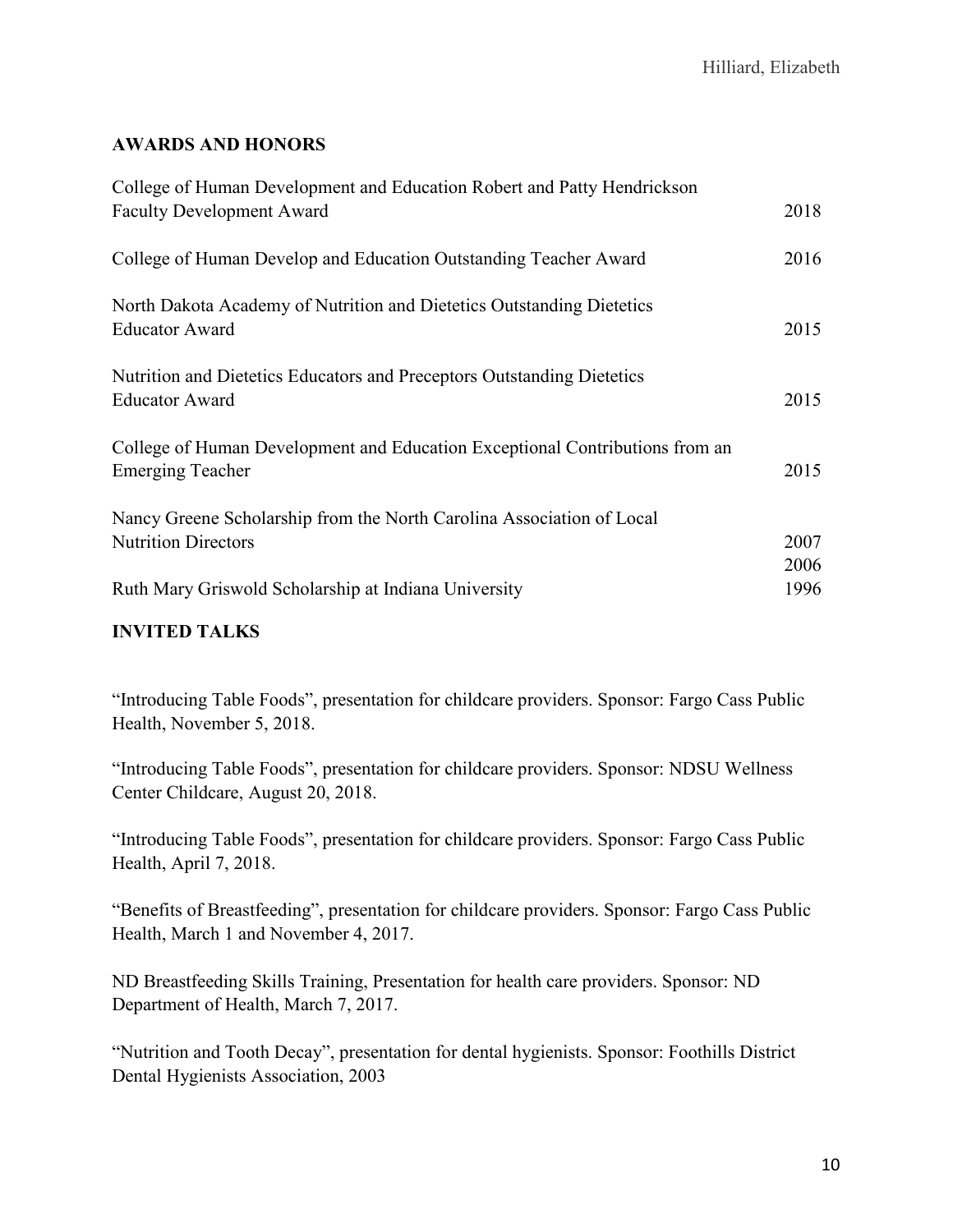### **AWARDS AND HONORS**

| College of Human Development and Education Robert and Patty Hendrickson      |      |
|------------------------------------------------------------------------------|------|
| <b>Faculty Development Award</b>                                             | 2018 |
| College of Human Develop and Education Outstanding Teacher Award             | 2016 |
| North Dakota Academy of Nutrition and Dietetics Outstanding Dietetics        |      |
| <b>Educator Award</b>                                                        | 2015 |
| Nutrition and Dietetics Educators and Preceptors Outstanding Dietetics       |      |
| <b>Educator Award</b>                                                        | 2015 |
| College of Human Development and Education Exceptional Contributions from an |      |
| <b>Emerging Teacher</b>                                                      | 2015 |
| Nancy Greene Scholarship from the North Carolina Association of Local        |      |
| <b>Nutrition Directors</b>                                                   | 2007 |
|                                                                              | 2006 |
| Ruth Mary Griswold Scholarship at Indiana University                         | 1996 |
|                                                                              |      |

# **INVITED TALKS**

"Introducing Table Foods", presentation for childcare providers. Sponsor: Fargo Cass Public Health, November 5, 2018.

"Introducing Table Foods", presentation for childcare providers. Sponsor: NDSU Wellness Center Childcare, August 20, 2018.

"Introducing Table Foods", presentation for childcare providers. Sponsor: Fargo Cass Public Health, April 7, 2018.

"Benefits of Breastfeeding", presentation for childcare providers. Sponsor: Fargo Cass Public Health, March 1 and November 4, 2017.

ND Breastfeeding Skills Training, Presentation for health care providers. Sponsor: ND Department of Health, March 7, 2017.

"Nutrition and Tooth Decay", presentation for dental hygienists. Sponsor: Foothills District Dental Hygienists Association, 2003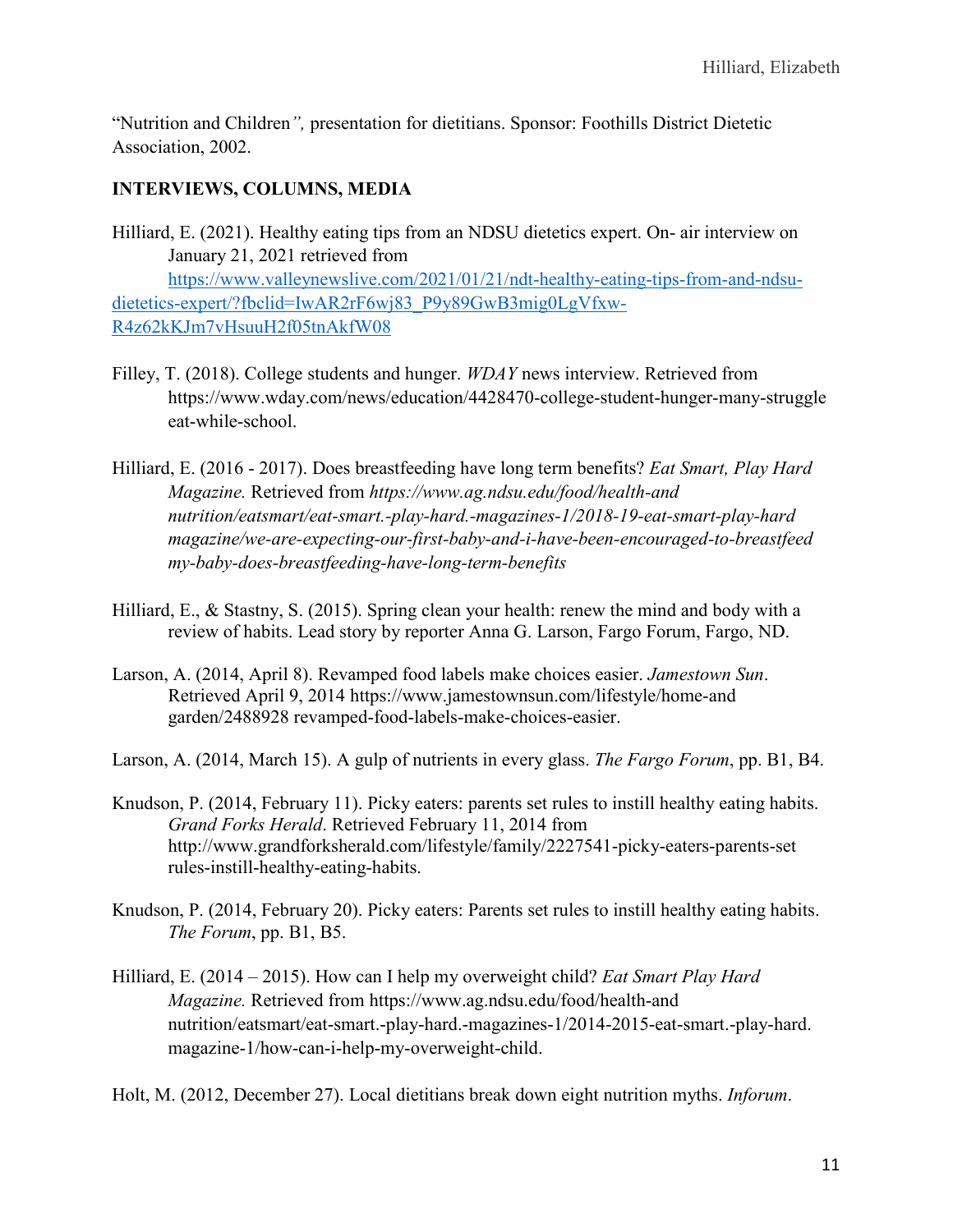"Nutrition and Children*",* presentation for dietitians. Sponsor: Foothills District Dietetic Association, 2002.

### **INTERVIEWS, COLUMNS, MEDIA**

Hilliard, E. (2021). Healthy eating tips from an NDSU dietetics expert. On- air interview on January 21, 2021 retrieved from [https://www.valleynewslive.com/2021/01/21/ndt-healthy-eating-tips-from-and-ndsu-](https://www.valleynewslive.com/2021/01/21/ndt-healthy-eating-tips-from-and-ndsu-dietetics-expert/?fbclid=IwAR2rF6wj83_P9y89GwB3mig0LgVfxw-R4z62kKJm7vHsuuH2f05tnAkfW08)

[dietetics-expert/?fbclid=IwAR2rF6wj83\\_P9y89GwB3mig0LgVfxw-](https://www.valleynewslive.com/2021/01/21/ndt-healthy-eating-tips-from-and-ndsu-dietetics-expert/?fbclid=IwAR2rF6wj83_P9y89GwB3mig0LgVfxw-R4z62kKJm7vHsuuH2f05tnAkfW08)[R4z62kKJm7vHsuuH2f05tnAkfW08](https://www.valleynewslive.com/2021/01/21/ndt-healthy-eating-tips-from-and-ndsu-dietetics-expert/?fbclid=IwAR2rF6wj83_P9y89GwB3mig0LgVfxw-R4z62kKJm7vHsuuH2f05tnAkfW08)

- Filley, T. (2018). College students and hunger. *WDAY* news interview. Retrieved from https://www.wday.com/news/education/4428470-college-student-hunger-many-struggle eat-while-school.
- Hilliard, E. (2016 2017). Does breastfeeding have long term benefits? *Eat Smart, Play Hard Magazine.* Retrieved from *https://www.ag.ndsu.edu/food/health-and nutrition/eatsmart/eat-smart.-play-hard.-magazines-1/2018-19-eat-smart-play-hard magazine/we-are-expecting-our-first-baby-and-i-have-been-encouraged-to-breastfeed my-baby-does-breastfeeding-have-long-term-benefits*
- Hilliard, E., & Stastny, S. (2015). Spring clean your health: renew the mind and body with a review of habits. Lead story by reporter Anna G. Larson, Fargo Forum, Fargo, ND.
- Larson, A. (2014, April 8). Revamped food labels make choices easier. *Jamestown Sun*. Retrieved April 9, 2014 https://www.jamestownsun.com/lifestyle/home-and garden/2488928 revamped-food-labels-make-choices-easier.
- Larson, A. (2014, March 15). A gulp of nutrients in every glass. *The Fargo Forum*, pp. B1, B4.
- Knudson, P. (2014, February 11). Picky eaters: parents set rules to instill healthy eating habits. *Grand Forks Herald*. Retrieved February 11, 2014 from http://www.grandforksherald.com/lifestyle/family/2227541-picky-eaters-parents-set rules-instill-healthy-eating-habits.
- Knudson, P. (2014, February 20). Picky eaters: Parents set rules to instill healthy eating habits. *The Forum*, pp. B1, B5.
- Hilliard, E. (2014 2015). How can I help my overweight child? *Eat Smart Play Hard Magazine.* Retrieved from https://www.ag.ndsu.edu/food/health-and nutrition/eatsmart/eat-smart.-play-hard.-magazines-1/2014-2015-eat-smart.-play-hard. magazine-1/how-can-i-help-my-overweight-child.

Holt, M. (2012, December 27). Local dietitians break down eight nutrition myths. *Inforum*.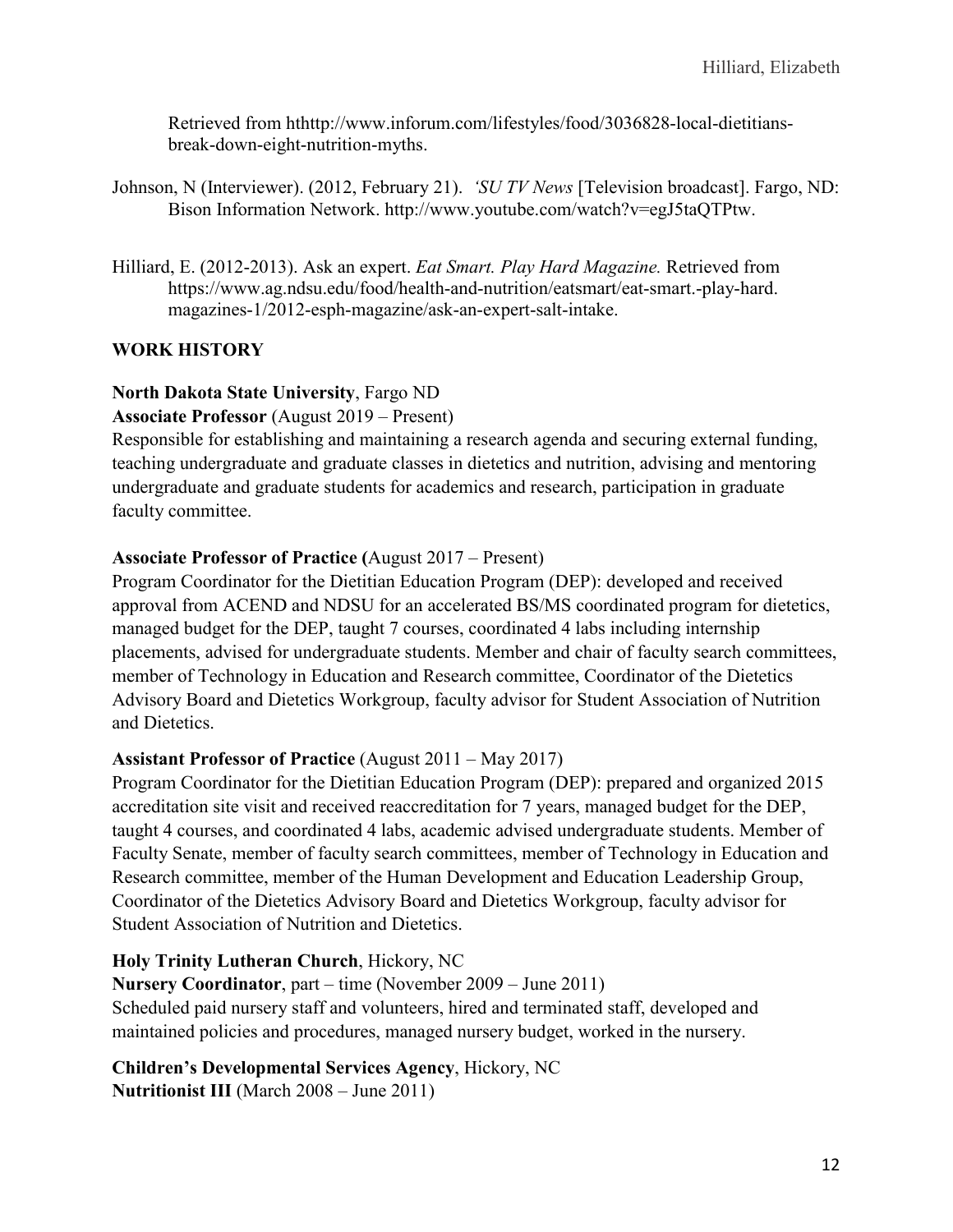Retrieved from hthttp://www.inforum.com/lifestyles/food/3036828-local-dietitiansbreak-down-eight-nutrition-myths.

- Johnson, N (Interviewer). (2012, February 21). *'SU TV News* [Television broadcast]. Fargo, ND: Bison Information Network. http://www.youtube.com/watch?v=egJ5taQTPtw.
- Hilliard, E. (2012-2013). Ask an expert. *Eat Smart. Play Hard Magazine.* Retrieved from https://www.ag.ndsu.edu/food/health-and-nutrition/eatsmart/eat-smart.-play-hard. magazines-1/2012-esph-magazine/ask-an-expert-salt-intake.

# **WORK HISTORY**

### **North Dakota State University**, Fargo ND

**Associate Professor** (August 2019 – Present)

Responsible for establishing and maintaining a research agenda and securing external funding, teaching undergraduate and graduate classes in dietetics and nutrition, advising and mentoring undergraduate and graduate students for academics and research, participation in graduate faculty committee.

### **Associate Professor of Practice (**August 2017 – Present)

Program Coordinator for the Dietitian Education Program (DEP): developed and received approval from ACEND and NDSU for an accelerated BS/MS coordinated program for dietetics, managed budget for the DEP, taught 7 courses, coordinated 4 labs including internship placements, advised for undergraduate students. Member and chair of faculty search committees, member of Technology in Education and Research committee, Coordinator of the Dietetics Advisory Board and Dietetics Workgroup, faculty advisor for Student Association of Nutrition and Dietetics.

### **Assistant Professor of Practice** (August 2011 – May 2017)

Program Coordinator for the Dietitian Education Program (DEP): prepared and organized 2015 accreditation site visit and received reaccreditation for 7 years, managed budget for the DEP, taught 4 courses, and coordinated 4 labs, academic advised undergraduate students. Member of Faculty Senate, member of faculty search committees, member of Technology in Education and Research committee, member of the Human Development and Education Leadership Group, Coordinator of the Dietetics Advisory Board and Dietetics Workgroup, faculty advisor for Student Association of Nutrition and Dietetics.

### **Holy Trinity Lutheran Church**, Hickory, NC

**Nursery Coordinator**, part – time (November 2009 – June 2011) Scheduled paid nursery staff and volunteers, hired and terminated staff, developed and maintained policies and procedures, managed nursery budget, worked in the nursery.

**Children's Developmental Services Agency**, Hickory, NC **Nutritionist III** (March 2008 – June 2011)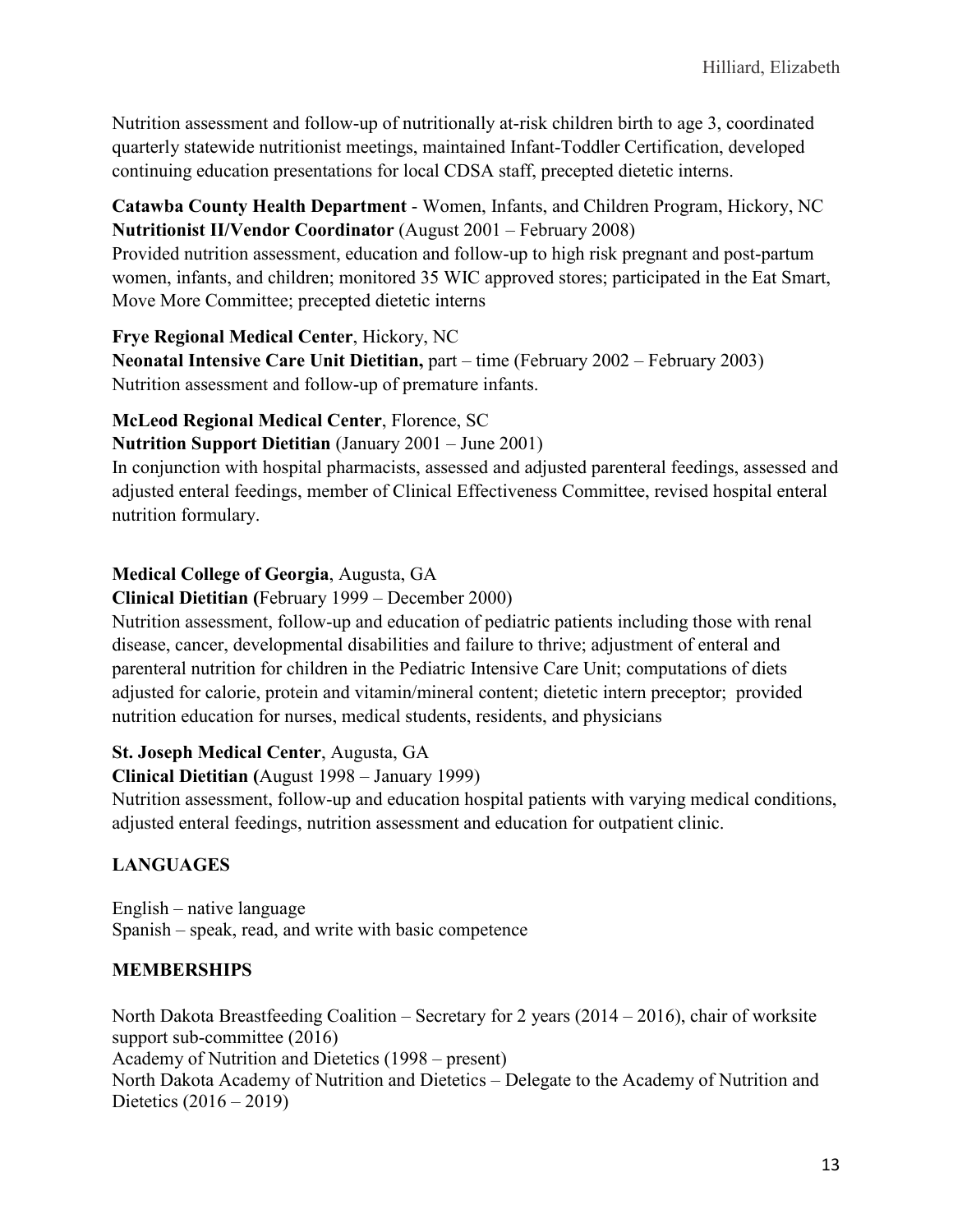Nutrition assessment and follow-up of nutritionally at-risk children birth to age 3, coordinated quarterly statewide nutritionist meetings, maintained Infant-Toddler Certification, developed continuing education presentations for local CDSA staff, precepted dietetic interns.

**Catawba County Health Department** - Women, Infants, and Children Program, Hickory, NC **Nutritionist II/Vendor Coordinator** (August 2001 – February 2008)

Provided nutrition assessment, education and follow-up to high risk pregnant and post-partum women, infants, and children; monitored 35 WIC approved stores; participated in the Eat Smart, Move More Committee; precepted dietetic interns

**Frye Regional Medical Center**, Hickory, NC

**Neonatal Intensive Care Unit Dietitian,** part – time (February 2002 – February 2003) Nutrition assessment and follow-up of premature infants.

# **McLeod Regional Medical Center**, Florence, SC

**Nutrition Support Dietitian** (January 2001 – June 2001)

In conjunction with hospital pharmacists, assessed and adjusted parenteral feedings, assessed and adjusted enteral feedings, member of Clinical Effectiveness Committee, revised hospital enteral nutrition formulary.

# **Medical College of Georgia**, Augusta, GA

**Clinical Dietitian (**February 1999 – December 2000)

Nutrition assessment, follow-up and education of pediatric patients including those with renal disease, cancer, developmental disabilities and failure to thrive; adjustment of enteral and parenteral nutrition for children in the Pediatric Intensive Care Unit; computations of diets adjusted for calorie, protein and vitamin/mineral content; dietetic intern preceptor; provided nutrition education for nurses, medical students, residents, and physicians

### **St. Joseph Medical Center**, Augusta, GA

**Clinical Dietitian (**August 1998 – January 1999)

Nutrition assessment, follow-up and education hospital patients with varying medical conditions, adjusted enteral feedings, nutrition assessment and education for outpatient clinic.

# **LANGUAGES**

English – native language Spanish – speak, read, and write with basic competence

# **MEMBERSHIPS**

North Dakota Breastfeeding Coalition – Secretary for 2 years (2014 – 2016), chair of worksite support sub-committee (2016)

Academy of Nutrition and Dietetics (1998 – present)

North Dakota Academy of Nutrition and Dietetics – Delegate to the Academy of Nutrition and Dietetics (2016 – 2019)